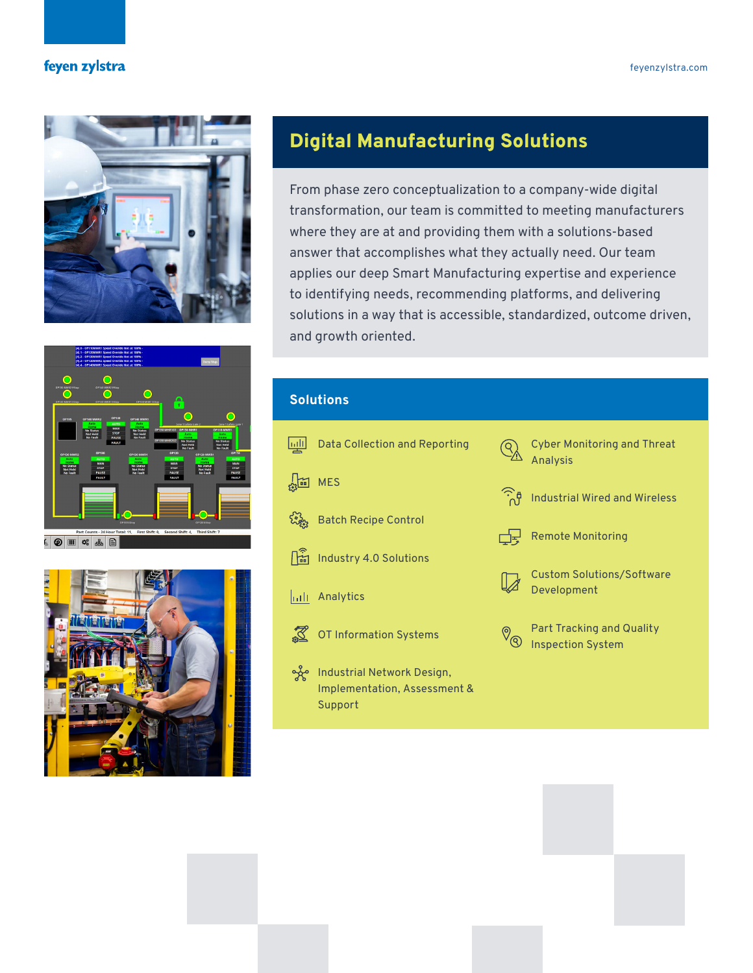# feyen zylstra



# Digital Manufacturing Solutions

From phase zero conceptualization to a company-wide digital transformation, our team is committed to meeting manufacturers where they are at and providing them with a solutions-based answer that accomplishes what they actually need. Our team applies our deep Smart Manufacturing expertise and experience to identifying needs, recommending platforms, and delivering solutions in a way that is accessible, standardized, outcome driven, and growth oriented.





## **Solutions**

- **mill** Data Collection and Reporting
- $\sqrt{m}$  MES
- ર્ચ્યુસ્તુ Batch Recipe Control
- Industry 4.0 Solutions
- **Analytics**
- OT Information Systems
- Industrial Network Design, Implementation, Assessment & Support



Cyber Monitoring and Threat Analysis



Industrial Wired and Wireless



Remote Monitoring



Custom Solutions/Software Development



Part Tracking and Quality Inspection System